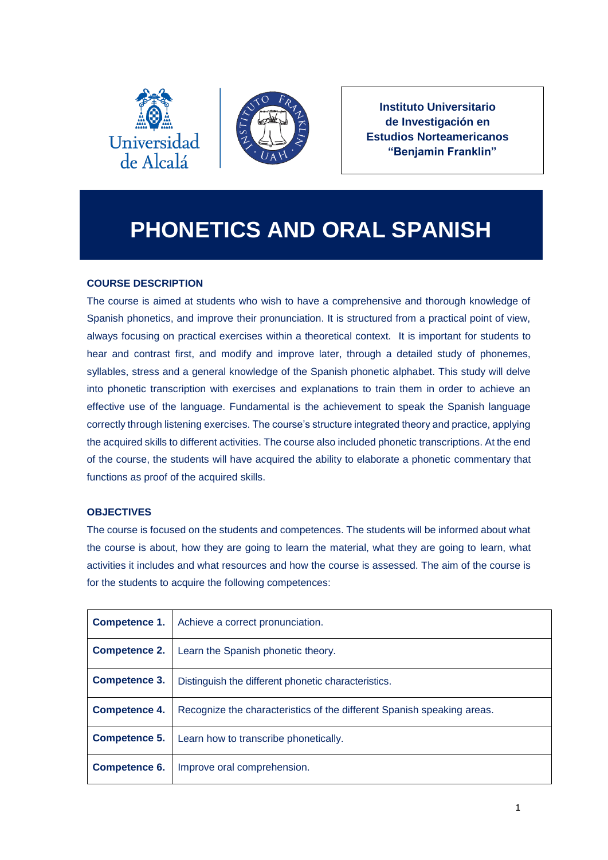



**Instituto Universitario de Investigación en Estudios Norteamericanos "Benjamin Franklin"**

# **PHONETICS AND ORAL SPANISH**

# **COURSE DESCRIPTION**

The course is aimed at students who wish to have a comprehensive and thorough knowledge of Spanish phonetics, and improve their pronunciation. It is structured from a practical point of view, always focusing on practical exercises within a theoretical context. It is important for students to hear and contrast first, and modify and improve later, through a detailed study of phonemes, syllables, stress and a general knowledge of the Spanish phonetic alphabet. This study will delve into phonetic transcription with exercises and explanations to train them in order to achieve an effective use of the language. Fundamental is the achievement to speak the Spanish language correctly through listening exercises. The course's structure integrated theory and practice, applying the acquired skills to different activities. The course also included phonetic transcriptions. At the end of the course, the students will have acquired the ability to elaborate a phonetic commentary that functions as proof of the acquired skills.

# **OBJECTIVES**

The course is focused on the students and competences. The students will be informed about what the course is about, how they are going to learn the material, what they are going to learn, what activities it includes and what resources and how the course is assessed. The aim of the course is for the students to acquire the following competences:

| Competence 1.        | Achieve a correct pronunciation.                                       |
|----------------------|------------------------------------------------------------------------|
| <b>Competence 2.</b> | Learn the Spanish phonetic theory.                                     |
| <b>Competence 3.</b> | Distinguish the different phonetic characteristics.                    |
| <b>Competence 4.</b> | Recognize the characteristics of the different Spanish speaking areas. |
| Competence 5.        | Learn how to transcribe phonetically.                                  |
| Competence 6.        | Improve oral comprehension.                                            |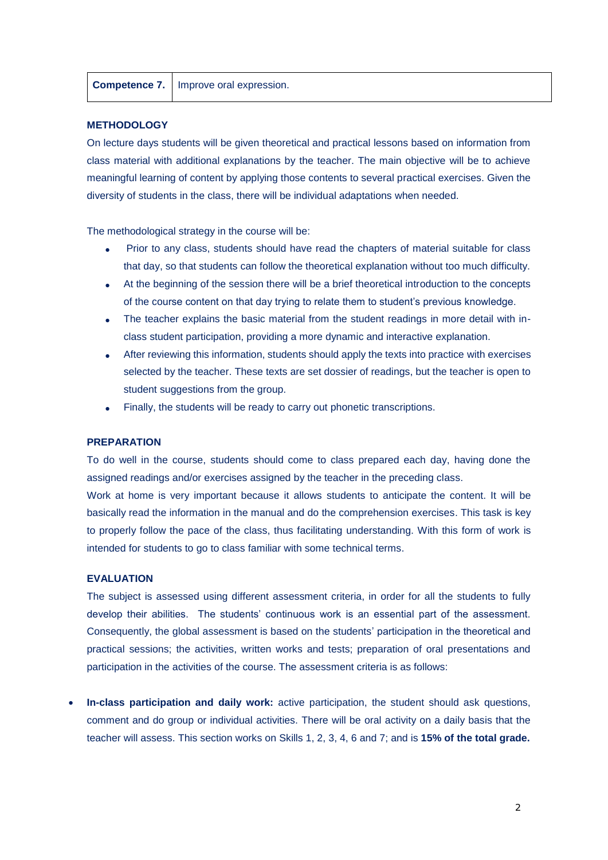#### **METHODOLOGY**

On lecture days students will be given theoretical and practical lessons based on information from class material with additional explanations by the teacher. The main objective will be to achieve meaningful learning of content by applying those contents to several practical exercises. Given the diversity of students in the class, there will be individual adaptations when needed.

The methodological strategy in the course will be:

- Prior to any class, students should have read the chapters of material suitable for class that day, so that students can follow the theoretical explanation without too much difficulty.
- At the beginning of the session there will be a brief theoretical introduction to the concepts of the course content on that day trying to relate them to student's previous knowledge.
- The teacher explains the basic material from the student readings in more detail with inclass student participation, providing a more dynamic and interactive explanation.
- After reviewing this information, students should apply the texts into practice with exercises selected by the teacher. These texts are set dossier of readings, but the teacher is open to student suggestions from the group.
- Finally, the students will be ready to carry out phonetic transcriptions.

#### **PREPARATION**

To do well in the course, students should come to class prepared each day, having done the assigned readings and/or exercises assigned by the teacher in the preceding class.

Work at home is very important because it allows students to anticipate the content. It will be basically read the information in the manual and do the comprehension exercises. This task is key to properly follow the pace of the class, thus facilitating understanding. With this form of work is intended for students to go to class familiar with some technical terms.

#### **EVALUATION**

The subject is assessed using different assessment criteria, in order for all the students to fully develop their abilities. The students' continuous work is an essential part of the assessment. Consequently, the global assessment is based on the students' participation in the theoretical and practical sessions; the activities, written works and tests; preparation of oral presentations and participation in the activities of the course. The assessment criteria is as follows:

 **In-class participation and daily work:** active participation, the student should ask questions, comment and do group or individual activities. There will be oral activity on a daily basis that the teacher will assess. This section works on Skills 1, 2, 3, 4, 6 and 7; and is **15% of the total grade.**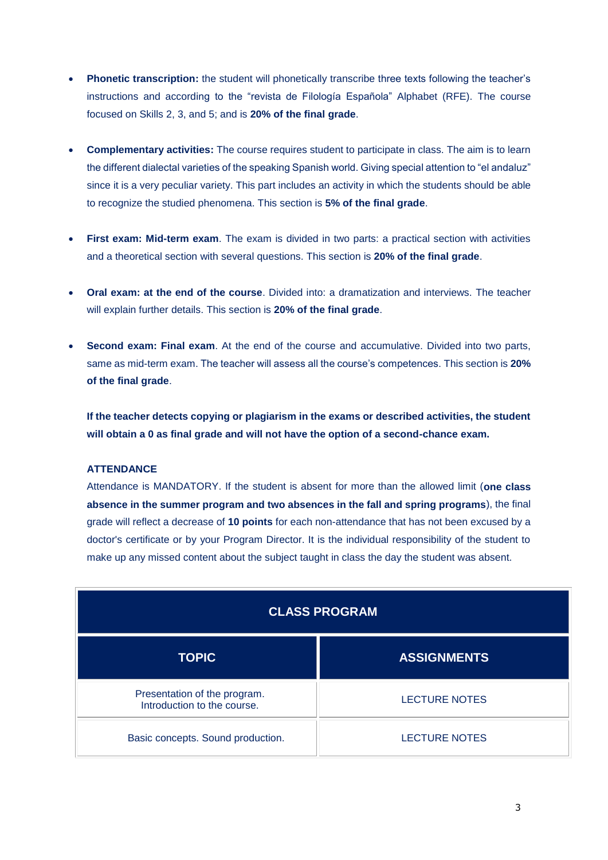- **Phonetic transcription:** the student will phonetically transcribe three texts following the teacher's instructions and according to the "revista de Filología Española" Alphabet (RFE). The course focused on Skills 2, 3, and 5; and is **20% of the final grade**.
- **Complementary activities:** The course requires student to participate in class. The aim is to learn the different dialectal varieties of the speaking Spanish world. Giving special attention to "el andaluz" since it is a very peculiar variety. This part includes an activity in which the students should be able to recognize the studied phenomena. This section is **5% of the final grade**.
- **First exam: Mid-term exam**. The exam is divided in two parts: a practical section with activities and a theoretical section with several questions. This section is **20% of the final grade**.
- **Oral exam: at the end of the course**. Divided into: a dramatization and interviews. The teacher will explain further details. This section is **20% of the final grade**.
- **Second exam: Final exam**. At the end of the course and accumulative. Divided into two parts, same as mid-term exam. The teacher will assess all the course's competences. This section is **20% of the final grade**.

**If the teacher detects copying or plagiarism in the exams or described activities, the student will obtain a 0 as final grade and will not have the option of a second-chance exam.**

## **ATTENDANCE**

Attendance is MANDATORY. If the student is absent for more than the allowed limit (**one class absence in the summer program and two absences in the fall and spring programs**), the final grade will reflect a decrease of **10 points** for each non-attendance that has not been excused by a doctor's certificate or by your Program Director. It is the individual responsibility of the student to make up any missed content about the subject taught in class the day the student was absent.

| <b>CLASS PROGRAM</b>                                        |                      |  |
|-------------------------------------------------------------|----------------------|--|
| <b>TOPIC</b>                                                | <b>ASSIGNMENTS</b>   |  |
| Presentation of the program.<br>Introduction to the course. | <b>LECTURE NOTES</b> |  |
| Basic concepts. Sound production.                           | <b>LECTURE NOTES</b> |  |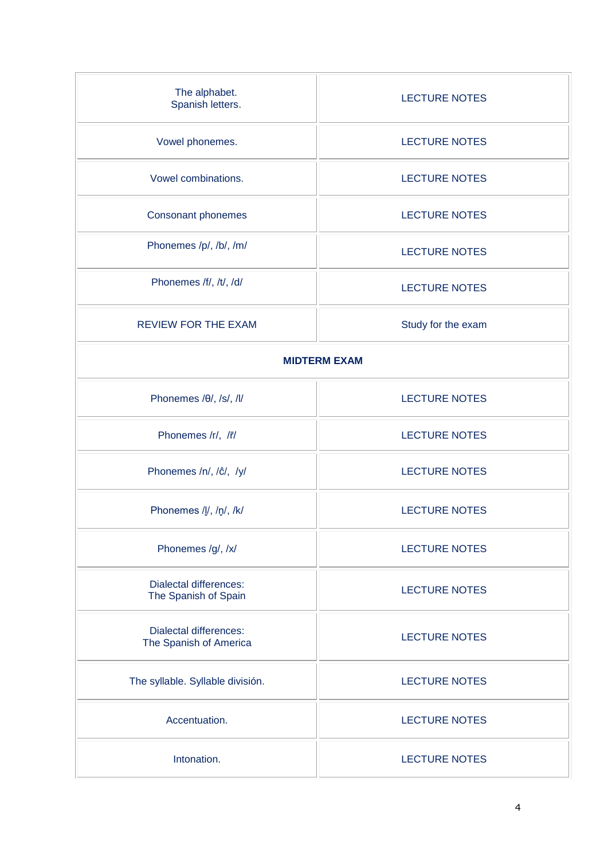| The alphabet.<br>Spanish letters.                       | <b>LECTURE NOTES</b> |  |  |
|---------------------------------------------------------|----------------------|--|--|
| Vowel phonemes.                                         | <b>LECTURE NOTES</b> |  |  |
| Vowel combinations.                                     | <b>LECTURE NOTES</b> |  |  |
| Consonant phonemes                                      | <b>LECTURE NOTES</b> |  |  |
| Phonemes /p/, /b/, /m/                                  | <b>LECTURE NOTES</b> |  |  |
| Phonemes /f/, /t/, /d/                                  | <b>LECTURE NOTES</b> |  |  |
| <b>REVIEW FOR THE EXAM</b>                              | Study for the exam   |  |  |
| <b>MIDTERM EXAM</b>                                     |                      |  |  |
| Phonemes /0/, /s/, /l/                                  | <b>LECTURE NOTES</b> |  |  |
| Phonemes /r/, /r/                                       | <b>LECTURE NOTES</b> |  |  |
| Phonemes /n/, /ĉ/, /y/                                  | <b>LECTURE NOTES</b> |  |  |
| Phonemes /l., /n., /k/                                  | <b>LECTURE NOTES</b> |  |  |
| Phonemes /g/, /x/                                       | <b>LECTURE NOTES</b> |  |  |
| <b>Dialectal differences:</b><br>The Spanish of Spain   | <b>LECTURE NOTES</b> |  |  |
| <b>Dialectal differences:</b><br>The Spanish of America | <b>LECTURE NOTES</b> |  |  |
| The syllable. Syllable división.                        | <b>LECTURE NOTES</b> |  |  |
| Accentuation.                                           | <b>LECTURE NOTES</b> |  |  |
| Intonation.                                             | <b>LECTURE NOTES</b> |  |  |